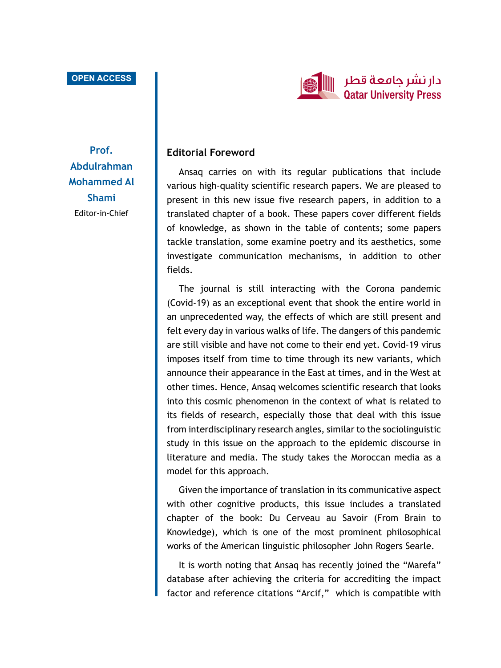## **OPEN ACCESS**



**Prof. Abdulrahman Mohammed Al Shami** Editor-in-Chief

## **Editorial Foreword**

Ansaq carries on with its regular publications that include various high-quality scientific research papers. We are pleased to present in this new issue five research papers, in addition to a translated chapter of a book. These papers cover different fields of knowledge, as shown in the table of contents; some papers tackle translation, some examine poetry and its aesthetics, some investigate communication mechanisms, in addition to other fields.

The journal is still interacting with the Corona pandemic (Covid-19) as an exceptional event that shook the entire world in an unprecedented way, the effects of which are still present and felt every day in various walks of life. The dangers of this pandemic are still visible and have not come to their end yet. Covid-19 virus imposes itself from time to time through its new variants, which announce their appearance in the East at times, and in the West at other times. Hence, Ansaq welcomes scientific research that looks into this cosmic phenomenon in the context of what is related to its fields of research, especially those that deal with this issue from interdisciplinary research angles, similar to the sociolinguistic study in this issue on the approach to the epidemic discourse in literature and media. The study takes the Moroccan media as a model for this approach.

Given the importance of translation in its communicative aspect with other cognitive products, this issue includes a translated chapter of the book: Du Cerveau au Savoir (From Brain to Knowledge), which is one of the most prominent philosophical works of the American linguistic philosopher John Rogers Searle.

It is worth noting that Ansaq has recently joined the "Marefa" database after achieving the criteria for accrediting the impact factor and reference citations "Arcif," which is compatible with